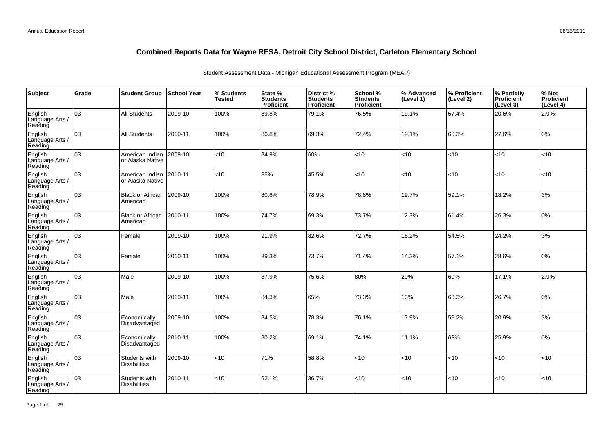| Subject                               | Grade | <b>Student Group</b>                 | <b>School Year</b> | % Students<br><b>Tested</b> | State %<br><b>Students</b><br>Proficient | District %<br><b>Students</b><br>Proficient | School %<br><b>Students</b><br><b>Proficient</b> | % Advanced<br>(Level 1) | % Proficient<br>(Level 2) | % Partially<br>Proficient<br>(Level 3) | % Not<br>Proficient<br>(Level 4) |
|---------------------------------------|-------|--------------------------------------|--------------------|-----------------------------|------------------------------------------|---------------------------------------------|--------------------------------------------------|-------------------------|---------------------------|----------------------------------------|----------------------------------|
| English<br>Language Arts /<br>Reading | 03    | <b>All Students</b>                  | 2009-10            | 100%                        | 89.8%                                    | 79.1%                                       | 76.5%                                            | 19.1%                   | 57.4%                     | 20.6%                                  | 2.9%                             |
| English<br>Language Arts /<br>Reading | 03    | <b>All Students</b>                  | 2010-11            | 100%                        | 86.8%                                    | 69.3%                                       | 72.4%                                            | 12.1%                   | 60.3%                     | 27.6%                                  | 0%                               |
| English<br>Language Arts /<br>Reading | lоз   | American Indian<br>or Alaska Native  | 2009-10            | <10                         | 84.9%                                    | 60%                                         | <10                                              | <10                     | < 10                      | < 10                                   | <10                              |
| English<br>Language Arts /<br>Reading | 03    | American Indian<br>or Alaska Native  | 2010-11            | <10                         | 85%                                      | 45.5%                                       | < 10                                             | <10                     | $<$ 10                    | < 10                                   | <10                              |
| English<br>Language Arts /<br>Reading | 03    | <b>Black or African</b><br>American  | 2009-10            | 100%                        | 80.6%                                    | 78.9%                                       | 78.8%                                            | 19.7%                   | 59.1%                     | 18.2%                                  | 3%                               |
| English<br>Language Arts /<br>Reading | 03    | <b>Black or African</b><br>American  | 2010-11            | 100%                        | 74.7%                                    | 69.3%                                       | 73.7%                                            | 12.3%                   | 61.4%                     | 26.3%                                  | 0%                               |
| English<br>Language Arts /<br>Reading | 03    | Female                               | 2009-10            | 100%                        | 91.9%                                    | 82.6%                                       | 72.7%                                            | 18.2%                   | 54.5%                     | 24.2%                                  | 3%                               |
| English<br>Language Arts /<br>Reading | 03    | Female                               | 2010-11            | 100%                        | 89.3%                                    | 73.7%                                       | 71.4%                                            | 14.3%                   | 57.1%                     | 28.6%                                  | 0%                               |
| English<br>Language Arts /<br>Reading | 03    | Male                                 | 2009-10            | 100%                        | 87.9%                                    | 75.6%                                       | 80%                                              | 20%                     | 60%                       | 17.1%                                  | 2.9%                             |
| English<br>Language Arts /<br>Reading | 03    | Male                                 | 2010-11            | 100%                        | 84.3%                                    | 65%                                         | 73.3%                                            | 10%                     | 63.3%                     | 26.7%                                  | 0%                               |
| English<br>Language Arts /<br>Reading | 03    | Economically<br>Disadvantaged        | 2009-10            | 100%                        | 84.5%                                    | 78.3%                                       | 76.1%                                            | 17.9%                   | 58.2%                     | 20.9%                                  | 3%                               |
| English<br>Language Arts /<br>Reading | 03    | Economically<br>Disadvantaged        | 2010-11            | 100%                        | 80.2%                                    | 69.1%                                       | 74.1%                                            | 11.1%                   | 63%                       | 25.9%                                  | 0%                               |
| English<br>Language Arts /<br>Reading | 03    | Students with<br><b>Disabilities</b> | 2009-10            | < 10                        | 71%                                      | 58.8%                                       | <10                                              | < 10                    | < 10                      | < 10                                   | <10                              |
| English<br>Language Arts<br>Reading   | 03    | Students with<br><b>Disabilities</b> | 2010-11            | <10                         | 62.1%                                    | 36.7%                                       | < 10                                             | < 10                    | $<$ 10                    | < 10                                   | <10                              |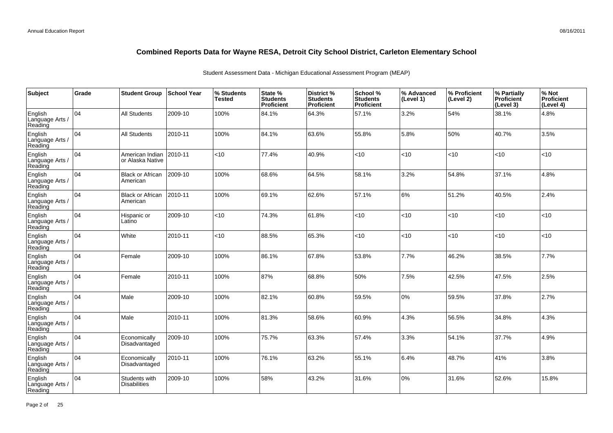| Subject                               | Grade | <b>Student Group</b>                 | <b>School Year</b> | % Students<br><b>Tested</b> | State %<br><b>Students</b><br>Proficient | District %<br><b>Students</b><br>Proficient | School %<br><b>Students</b><br><b>Proficient</b> | % Advanced<br>(Level 1) | % Proficient<br>(Level 2) | % Partially<br>Proficient<br>(Level 3) | % Not<br>Proficient<br>(Level 4) |
|---------------------------------------|-------|--------------------------------------|--------------------|-----------------------------|------------------------------------------|---------------------------------------------|--------------------------------------------------|-------------------------|---------------------------|----------------------------------------|----------------------------------|
| English<br>Language Arts /<br>Reading | 04    | <b>All Students</b>                  | 2009-10            | 100%                        | 84.1%                                    | 64.3%                                       | 57.1%                                            | 3.2%                    | 54%                       | 38.1%                                  | 4.8%                             |
| English<br>Language Arts /<br>Reading | 04    | <b>All Students</b>                  | 2010-11            | 100%                        | 84.1%                                    | 63.6%                                       | 55.8%                                            | 5.8%                    | 50%                       | 40.7%                                  | 3.5%                             |
| English<br>Language Arts /<br>Reading | 104   | American Indian<br>or Alaska Native  | 2010-11            | <10                         | 77.4%                                    | 40.9%                                       | <10                                              | <10                     | < 10                      | < 10                                   | <10                              |
| English<br>Language Arts /<br>Reading | 04    | <b>Black or African</b><br>American  | 2009-10            | 100%                        | 68.6%                                    | 64.5%                                       | 58.1%                                            | 3.2%                    | 54.8%                     | 37.1%                                  | 4.8%                             |
| English<br>Language Arts /<br>Reading | 104   | <b>Black or African</b><br>American  | 2010-11            | 100%                        | 69.1%                                    | 62.6%                                       | 57.1%                                            | 6%                      | 51.2%                     | 40.5%                                  | 2.4%                             |
| English<br>Language Arts /<br>Reading | 04    | Hispanic or<br>Latino                | 2009-10            | <10                         | 74.3%                                    | 61.8%                                       | <10                                              | <10                     | < 10                      | < 10                                   | <10                              |
| English<br>Language Arts /<br>Reading | 104   | White                                | 2010-11            | <10                         | 88.5%                                    | 65.3%                                       | <10                                              | <10                     | < 10                      | < 10                                   | <10                              |
| English<br>Language Arts /<br>Reading | 04    | Female                               | 2009-10            | 100%                        | 86.1%                                    | 67.8%                                       | 53.8%                                            | 7.7%                    | 46.2%                     | 38.5%                                  | 7.7%                             |
| English<br>Language Arts /<br>Reading | 04    | Female                               | 2010-11            | 100%                        | 87%                                      | 68.8%                                       | 50%                                              | 7.5%                    | 42.5%                     | 47.5%                                  | 2.5%                             |
| English<br>Language Arts /<br>Reading | 04    | Male                                 | 2009-10            | 100%                        | 82.1%                                    | 60.8%                                       | 59.5%                                            | 0%                      | 59.5%                     | 37.8%                                  | 2.7%                             |
| English<br>Language Arts /<br>Reading | 04    | Male                                 | 2010-11            | 100%                        | 81.3%                                    | 58.6%                                       | 60.9%                                            | 4.3%                    | 56.5%                     | 34.8%                                  | 4.3%                             |
| English<br>Language Arts /<br>Reading | 04    | Economically<br>Disadvantaged        | 2009-10            | 100%                        | 75.7%                                    | 63.3%                                       | 57.4%                                            | 3.3%                    | 54.1%                     | 37.7%                                  | 4.9%                             |
| English<br>Language Arts /<br>Reading | 104   | Economically<br>Disadvantaged        | 2010-11            | 100%                        | 76.1%                                    | 63.2%                                       | 55.1%                                            | 6.4%                    | 48.7%                     | 41%                                    | 3.8%                             |
| English<br>Language Arts<br>Reading   | 04    | Students with<br><b>Disabilities</b> | 2009-10            | 100%                        | 58%                                      | 43.2%                                       | 31.6%                                            | 0%                      | 31.6%                     | 52.6%                                  | 15.8%                            |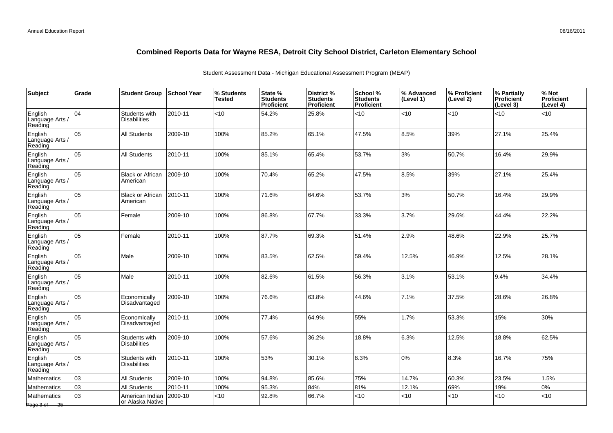| Subject                               | Grade | <b>Student Group</b>                 | <b>School Year</b> | % Students<br>Tested | State %<br><b>Students</b><br>Proficient | District %<br><b>Students</b><br><b>Proficient</b> | School %<br><b>Students</b><br>Proficient | % Advanced<br>(Level 1) | % Proficient<br>(Level 2) | % Partially<br><b>Proficient</b><br>(Level 3) | % Not<br><b>Proficient</b><br>(Level 4) |
|---------------------------------------|-------|--------------------------------------|--------------------|----------------------|------------------------------------------|----------------------------------------------------|-------------------------------------------|-------------------------|---------------------------|-----------------------------------------------|-----------------------------------------|
| English<br>Language Arts<br>Reading   | 04    | Students with<br><b>Disabilities</b> | 2010-11            | <10                  | 54.2%                                    | 25.8%                                              | <10                                       | < 10                    | < 10                      | <10                                           | <10                                     |
| English<br>Language Arts /<br>Reading | 05    | <b>All Students</b>                  | 2009-10            | 100%                 | 85.2%                                    | 65.1%                                              | 47.5%                                     | 8.5%                    | 39%                       | 27.1%                                         | 25.4%                                   |
| English<br>Language Arts /<br>Reading | 05    | <b>All Students</b>                  | 2010-11            | 100%                 | 85.1%                                    | 65.4%                                              | 53.7%                                     | 3%                      | 50.7%                     | 16.4%                                         | 29.9%                                   |
| English<br>Language Arts /<br>Reading | 05    | <b>Black or African</b><br>American  | 2009-10            | 100%                 | 70.4%                                    | 65.2%                                              | 47.5%                                     | 8.5%                    | 39%                       | 27.1%                                         | 25.4%                                   |
| English<br>Language Arts /<br>Reading | 05    | <b>Black or African</b><br>American  | 2010-11            | 100%                 | 71.6%                                    | 64.6%                                              | 53.7%                                     | 3%                      | 50.7%                     | 16.4%                                         | 29.9%                                   |
| English<br>Language Arts /<br>Reading | 05    | Female                               | 2009-10            | 100%                 | 86.8%                                    | 67.7%                                              | 33.3%                                     | 3.7%                    | 29.6%                     | 44.4%                                         | 22.2%                                   |
| English<br>Language Arts /<br>Reading | 05    | Female                               | 2010-11            | 100%                 | 87.7%                                    | 69.3%                                              | 51.4%                                     | 2.9%                    | 48.6%                     | 22.9%                                         | 25.7%                                   |
| English<br>Language Arts /<br>Reading | 05    | Male                                 | 2009-10            | 100%                 | 83.5%                                    | 62.5%                                              | 59.4%                                     | 12.5%                   | 46.9%                     | 12.5%                                         | 28.1%                                   |
| English<br>Language Arts<br>Reading   | 05    | Male                                 | 2010-11            | 100%                 | 82.6%                                    | 61.5%                                              | 56.3%                                     | 3.1%                    | 53.1%                     | 9.4%                                          | 34.4%                                   |
| English<br>Language Arts /<br>Reading | 05    | Economically<br>Disadvantaged        | 2009-10            | 100%                 | 76.6%                                    | 63.8%                                              | 44.6%                                     | 7.1%                    | 37.5%                     | 28.6%                                         | 26.8%                                   |
| English<br>Language Arts /<br>Reading | 05    | Economically<br>Disadvantaged        | 2010-11            | 100%                 | 77.4%                                    | 64.9%                                              | 55%                                       | 1.7%                    | 53.3%                     | 15%                                           | 30%                                     |
| English<br>Language Arts /<br>Reading | 05    | Students with<br><b>Disabilities</b> | 2009-10            | 100%                 | 57.6%                                    | 36.2%                                              | 18.8%                                     | 6.3%                    | 12.5%                     | 18.8%                                         | 62.5%                                   |
| English<br>Language Arts /<br>Reading | 05    | Students with<br><b>Disabilities</b> | 2010-11            | 100%                 | 53%                                      | 30.1%                                              | 8.3%                                      | 10%                     | 8.3%                      | 16.7%                                         | 75%                                     |
| Mathematics                           | 03    | <b>All Students</b>                  | 2009-10            | 100%                 | 94.8%                                    | 85.6%                                              | 75%                                       | 14.7%                   | 60.3%                     | 23.5%                                         | 1.5%                                    |
| <b>Mathematics</b>                    | 03    | <b>All Students</b>                  | 2010-11            | 100%                 | 95.3%                                    | 84%                                                | 81%                                       | 12.1%                   | 69%                       | 19%                                           | 0%                                      |
| Mathematics<br>Page 3 of 25           | 03    | American Indian<br>or Alaska Native  | 2009-10            | <10                  | 92.8%                                    | 66.7%                                              | <10                                       | <10                     | < 10                      | <10                                           | <10                                     |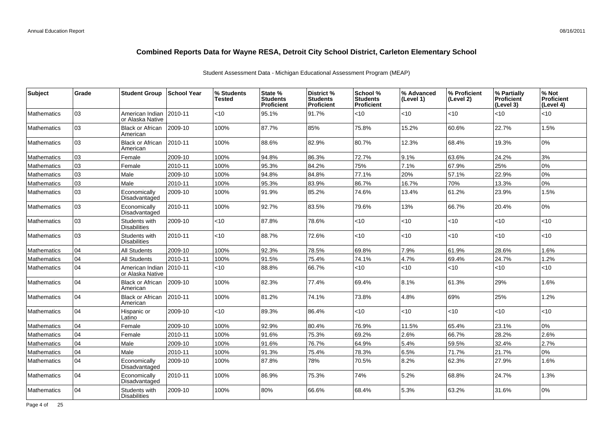| <b>Subject</b>     | Grade | <b>Student Group</b>                 | ∣School Year | % Students<br>Tested | State %<br><b>Students</b><br><b>Proficient</b> | District %<br><b>Students</b><br><b>Proficient</b> | School %<br><b>Students</b><br><b>Proficient</b> | % Advanced<br>(Level 1) | % Proficient<br>(Level 2) | % Partially<br><b>Proficient</b><br>(Level 3) | % Not<br>Proficient<br>(Level 4) |
|--------------------|-------|--------------------------------------|--------------|----------------------|-------------------------------------------------|----------------------------------------------------|--------------------------------------------------|-------------------------|---------------------------|-----------------------------------------------|----------------------------------|
| <b>Mathematics</b> | 03    | American Indian<br>or Alaska Native  | 2010-11      | <10                  | 95.1%                                           | 91.7%                                              | $<$ 10                                           | <10                     | $<$ 10                    | < 10                                          | < 10                             |
| <b>Mathematics</b> | 03    | <b>Black or African</b><br>American  | $ 2009-10$   | 100%                 | 87.7%                                           | 85%                                                | 75.8%                                            | 15.2%                   | 60.6%                     | 22.7%                                         | 1.5%                             |
| <b>Mathematics</b> | 03    | <b>Black or African</b><br>American  | 2010-11      | 100%                 | 88.6%                                           | 82.9%                                              | 80.7%                                            | 12.3%                   | 68.4%                     | 19.3%                                         | 0%                               |
| <b>Mathematics</b> | 03    | Female                               | 2009-10      | 100%                 | 94.8%                                           | 86.3%                                              | 72.7%                                            | 9.1%                    | 63.6%                     | 24.2%                                         | 3%                               |
| <b>Mathematics</b> | 03    | Female                               | 2010-11      | 100%                 | 95.3%                                           | 84.2%                                              | 75%                                              | 7.1%                    | 67.9%                     | 25%                                           | 0%                               |
| <b>Mathematics</b> | 03    | Male                                 | 2009-10      | 100%                 | 94.8%                                           | 84.8%                                              | 77.1%                                            | 20%                     | 57.1%                     | 22.9%                                         | 0%                               |
| <b>Mathematics</b> | 03    | Male                                 | 2010-11      | 100%                 | 95.3%                                           | 83.9%                                              | 86.7%                                            | 16.7%                   | 70%                       | 13.3%                                         | 0%                               |
| <b>Mathematics</b> | 03    | Economically<br>Disadvantaged        | 2009-10      | 100%                 | 91.9%                                           | 85.2%                                              | 74.6%                                            | 13.4%                   | 61.2%                     | 23.9%                                         | 1.5%                             |
| <b>Mathematics</b> | 03    | Economically<br>Disadvantaged        | 2010-11      | 100%                 | 92.7%                                           | 83.5%                                              | 79.6%                                            | 13%                     | 66.7%                     | 20.4%                                         | 0%                               |
| <b>Mathematics</b> | 03    | Students with<br><b>Disabilities</b> | 2009-10      | <10                  | 87.8%                                           | 78.6%                                              | $<$ 10                                           | <10                     | $<$ 10                    | <10                                           | < 10                             |
| <b>Mathematics</b> | 03    | Students with<br><b>Disabilities</b> | 2010-11      | <10                  | 88.7%                                           | 72.6%                                              | $<$ 10                                           | $<$ 10                  | $<$ 10                    | < 10                                          | < 10                             |
| <b>Mathematics</b> | 04    | All Students                         | 2009-10      | 100%                 | 92.3%                                           | 78.5%                                              | 69.8%                                            | 7.9%                    | 61.9%                     | 28.6%                                         | 1.6%                             |
| <b>Mathematics</b> | 04    | <b>All Students</b>                  | 2010-11      | 100%                 | 91.5%                                           | 75.4%                                              | 74.1%                                            | 4.7%                    | 69.4%                     | 24.7%                                         | 1.2%                             |
| <b>Mathematics</b> | 04    | American Indian<br>or Alaska Native  | 2010-11      | <10                  | 88.8%                                           | 66.7%                                              | $<$ 10                                           | <10                     | $<$ 10                    | $<$ 10                                        | <10                              |
| <b>Mathematics</b> | 04    | <b>Black or African</b><br>American  | 2009-10      | 100%                 | 82.3%                                           | 77.4%                                              | 69.4%                                            | 8.1%                    | 61.3%                     | 29%                                           | 1.6%                             |
| <b>Mathematics</b> | 04    | <b>Black or African</b><br>American  | 2010-11      | 100%                 | 81.2%                                           | 74.1%                                              | 73.8%                                            | 4.8%                    | 69%                       | 25%                                           | 1.2%                             |
| <b>Mathematics</b> | 04    | Hispanic or<br>Latino                | 2009-10      | <10                  | 89.3%                                           | 86.4%                                              | $<$ 10                                           | $<$ 10                  | $<$ 10                    | $<$ 10                                        | <10                              |
| Mathematics        | 04    | Female                               | 2009-10      | 100%                 | 92.9%                                           | 80.4%                                              | 76.9%                                            | 11.5%                   | 65.4%                     | 23.1%                                         | 0%                               |
| <b>Mathematics</b> | 04    | Female                               | 2010-11      | 100%                 | 91.6%                                           | 75.3%                                              | 69.2%                                            | 2.6%                    | 66.7%                     | 28.2%                                         | 2.6%                             |
| <b>Mathematics</b> | 04    | Male                                 | 2009-10      | 100%                 | 91.6%                                           | 76.7%                                              | 64.9%                                            | 5.4%                    | 59.5%                     | 32.4%                                         | 2.7%                             |
| <b>Mathematics</b> | 04    | Male                                 | 2010-11      | 100%                 | 91.3%                                           | 75.4%                                              | 78.3%                                            | 6.5%                    | 71.7%                     | 21.7%                                         | 0%                               |
| <b>Mathematics</b> | 04    | Economically<br>Disadvantaged        | 2009-10      | 100%                 | 87.8%                                           | 78%                                                | 70.5%                                            | 8.2%                    | 62.3%                     | 27.9%                                         | 1.6%                             |
| <b>Mathematics</b> | 04    | Economically<br>Disadvantaged        | 2010-11      | 100%                 | 86.9%                                           | 75.3%                                              | 74%                                              | 5.2%                    | 68.8%                     | 24.7%                                         | 1.3%                             |
| <b>Mathematics</b> | 04    | Students with<br><b>Disabilities</b> | 2009-10      | 100%                 | 80%                                             | 66.6%                                              | 68.4%                                            | 5.3%                    | 63.2%                     | 31.6%                                         | 0%                               |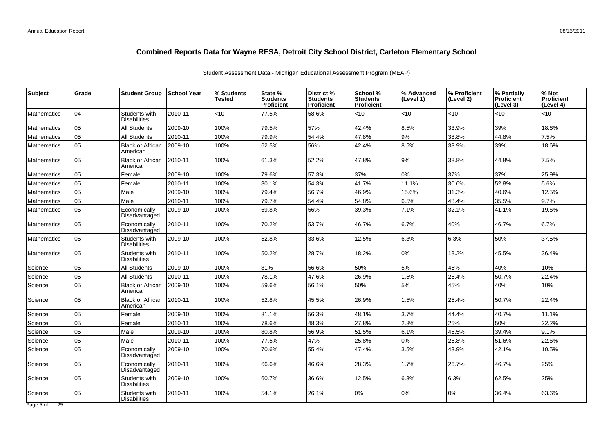| Subject                      | Grade | <b>Student Group</b>                 | School Year | % Students<br>Tested | State %<br><b>Students</b><br>Proficient | District %<br><b>Students</b><br>Proficient | School %<br><b>Students</b><br><b>Proficient</b> | % Advanced<br>(Level 1) | % Proficient<br>(Level 2) | % Partially<br><b>Proficient</b><br>(Level 3) | % Not<br><b>Proficient</b><br>(Level 4) |
|------------------------------|-------|--------------------------------------|-------------|----------------------|------------------------------------------|---------------------------------------------|--------------------------------------------------|-------------------------|---------------------------|-----------------------------------------------|-----------------------------------------|
| Mathematics                  | 04    | Students with<br><b>Disabilities</b> | 2010-11     | <10                  | 77.5%                                    | 58.6%                                       | $<$ 10                                           | < 10                    | $<$ 10                    | < 10                                          | <10                                     |
| Mathematics                  | 05    | <b>All Students</b>                  | 2009-10     | 100%                 | 79.5%                                    | 57%                                         | 42.4%                                            | 8.5%                    | 33.9%                     | 39%                                           | 18.6%                                   |
| Mathematics                  | 05    | All Students                         | 2010-11     | 100%                 | 79.9%                                    | 54.4%                                       | 47.8%                                            | $9\%$                   | 38.8%                     | 44.8%                                         | 7.5%                                    |
| Mathematics                  | 05    | <b>Black or African</b><br>American  | 2009-10     | 100%                 | 62.5%                                    | 56%                                         | 42.4%                                            | 8.5%                    | 33.9%                     | 39%                                           | 18.6%                                   |
| Mathematics                  | l 05  | <b>Black or African</b><br>American  | 2010-11     | 100%                 | 61.3%                                    | 52.2%                                       | 47.8%                                            | 9%                      | 38.8%                     | 44.8%                                         | 7.5%                                    |
| Mathematics                  | 05    | Female                               | 2009-10     | 100%                 | 79.6%                                    | 57.3%                                       | 37%                                              | 0%                      | 37%                       | 37%                                           | 25.9%                                   |
| <b>Mathematics</b>           | 05    | Female                               | 2010-11     | 100%                 | 80.1%                                    | 54.3%                                       | 41.7%                                            | 11.1%                   | 30.6%                     | 52.8%                                         | 5.6%                                    |
| Mathematics                  | 05    | Male                                 | 2009-10     | 100%                 | 79.4%                                    | 56.7%                                       | 46.9%                                            | 15.6%                   | 31.3%                     | 40.6%                                         | 12.5%                                   |
| Mathematics                  | 05    | Male                                 | 2010-11     | 100%                 | 79.7%                                    | 54.4%                                       | 54.8%                                            | 6.5%                    | 48.4%                     | 35.5%                                         | 9.7%                                    |
| <b>Mathematics</b>           | 05    | Economically<br>Disadvantaged        | 2009-10     | 100%                 | 69.8%                                    | 56%                                         | 39.3%                                            | 7.1%                    | 32.1%                     | 41.1%                                         | 19.6%                                   |
| Mathematics                  | 05    | Economically<br>Disadvantaged        | 2010-11     | 100%                 | 70.2%                                    | 53.7%                                       | 46.7%                                            | 6.7%                    | 40%                       | 46.7%                                         | 6.7%                                    |
| Mathematics                  | 05    | Students with<br>Disabilities        | 2009-10     | 100%                 | 52.8%                                    | 33.6%                                       | 12.5%                                            | 6.3%                    | 6.3%                      | 50%                                           | 37.5%                                   |
| <b>Mathematics</b>           | 05    | Students with<br><b>Disabilities</b> | 2010-11     | 100%                 | 50.2%                                    | 28.7%                                       | 18.2%                                            | 0%                      | 18.2%                     | 45.5%                                         | 36.4%                                   |
| Science                      | l 05  | <b>All Students</b>                  | 2009-10     | 100%                 | 81%                                      | 56.6%                                       | 50%                                              | 5%                      | 45%                       | 40%                                           | 10%                                     |
| Science                      | 05    | All Students                         | 2010-11     | 100%                 | 78.1%                                    | 47.6%                                       | 26.9%                                            | 1.5%                    | 25.4%                     | 50.7%                                         | 22.4%                                   |
| Science                      | 05    | <b>Black or African</b><br>American  | 2009-10     | 100%                 | 59.6%                                    | 56.1%                                       | 50%                                              | 5%                      | 45%                       | 40%                                           | 10%                                     |
| Science                      | lo5   | <b>Black or African</b><br>American  | 2010-11     | 100%                 | 52.8%                                    | 45.5%                                       | 26.9%                                            | 1.5%                    | 25.4%                     | 50.7%                                         | 22.4%                                   |
| Science                      | 05    | Female                               | 2009-10     | 100%                 | 81.1%                                    | 56.3%                                       | 48.1%                                            | 3.7%                    | 44.4%                     | 40.7%                                         | 11.1%                                   |
| Science                      | 05    | Female                               | 2010-11     | 100%                 | 78.6%                                    | 48.3%                                       | 27.8%                                            | 2.8%                    | 25%                       | 50%                                           | 22.2%                                   |
| Science                      | 05    | Male                                 | 2009-10     | 100%                 | 80.8%                                    | 56.9%                                       | 51.5%                                            | 6.1%                    | 45.5%                     | 39.4%                                         | 9.1%                                    |
| Science                      | 05    | Male                                 | 2010-11     | 100%                 | 77.5%                                    | 47%                                         | 25.8%                                            | 0%                      | 25.8%                     | 51.6%                                         | 22.6%                                   |
| Science                      | 05    | Economically<br>Disadvantaged        | 2009-10     | 100%                 | 70.6%                                    | 55.4%                                       | 47.4%                                            | 3.5%                    | 43.9%                     | 42.1%                                         | 10.5%                                   |
| Science                      | 05    | Economically<br>Disadvantaged        | 2010-11     | 100%                 | 66.6%                                    | 46.6%                                       | 28.3%                                            | 1.7%                    | 26.7%                     | 46.7%                                         | 25%                                     |
| Science                      | 05    | Students with<br><b>Disabilities</b> | 2009-10     | 100%                 | 60.7%                                    | 36.6%                                       | 12.5%                                            | 6.3%                    | 6.3%                      | 62.5%                                         | 25%                                     |
| Science                      | l 05  | Students with<br><b>Disabilities</b> | 2010-11     | 100%                 | 54.1%                                    | 26.1%                                       | 0%                                               | 0%                      | 0%                        | 36.4%                                         | 63.6%                                   |
| Page 5 of<br>$\overline{25}$ |       |                                      |             |                      |                                          |                                             |                                                  |                         |                           |                                               |                                         |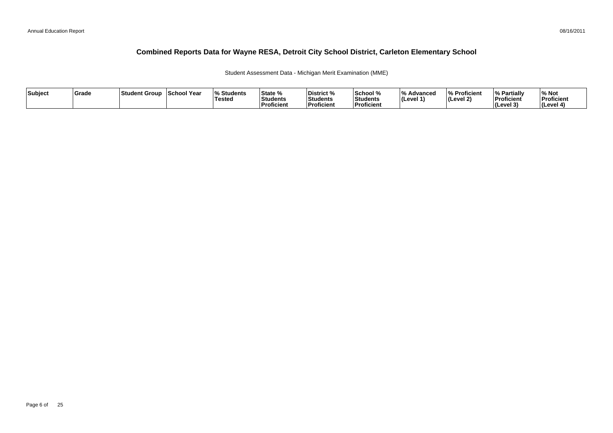Student Assessment Data - Michigan Merit Examination (MME)

| Subject | Grade | Student Group | <b>School Year</b> | <b>Students</b><br>Tested | State %<br>Students<br>Proficient | District %<br>Students<br><b>Proficient</b> | School %<br>Students<br>Proficient | $\overline{0}$<br>Advancec<br>$ $ (Level 1) | % Proficient<br> (Level 2) | % Partially<br>Proficient<br><b>I</b> Cevel 3<br>. . | ∕∘ Not<br>Proficient<br>(Level 4) |
|---------|-------|---------------|--------------------|---------------------------|-----------------------------------|---------------------------------------------|------------------------------------|---------------------------------------------|----------------------------|------------------------------------------------------|-----------------------------------|
|---------|-------|---------------|--------------------|---------------------------|-----------------------------------|---------------------------------------------|------------------------------------|---------------------------------------------|----------------------------|------------------------------------------------------|-----------------------------------|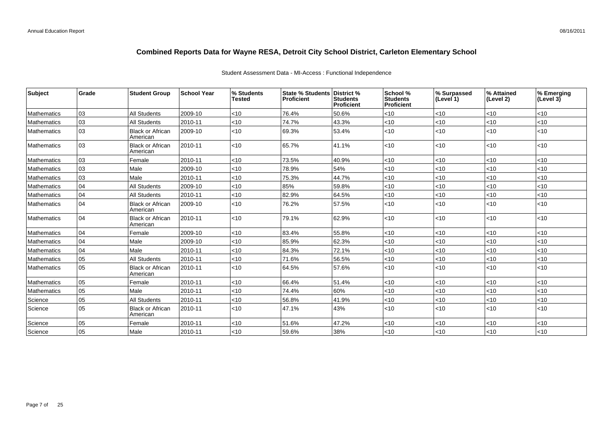| Student Assessment Data - MI-Access : Functional Independence |  |  |
|---------------------------------------------------------------|--|--|
|                                                               |  |  |

| Subject     | Grade | <b>Student Group</b>                | <b>School Year</b> | % Students<br>Tested | State % Students   District %<br><b>Proficient</b> | <b>Students</b><br><b>Proficient</b> | School %<br><b>Students</b><br>Proficient | % Surpassed<br>(Level 1) | % Attained<br>(Level 2) | % Emerging<br>(Level $3\bar{)}$ |
|-------------|-------|-------------------------------------|--------------------|----------------------|----------------------------------------------------|--------------------------------------|-------------------------------------------|--------------------------|-------------------------|---------------------------------|
| Mathematics | 03    | <b>All Students</b>                 | 2009-10            | <10                  | 76.4%                                              | 50.6%                                | $<$ 10                                    | $ $ < 10                 | $<10$                   | < 10                            |
| Mathematics | 03    | <b>All Students</b>                 | 2010-11            | <10                  | 74.7%                                              | 43.3%                                | $<$ 10                                    | $<$ 10                   | <10                     | < 10                            |
| Mathematics | 03    | <b>Black or African</b><br>American | 2009-10            | $<$ 10               | 69.3%                                              | 53.4%                                | $<$ 10                                    | < 10                     | < 10                    | < 10                            |
| Mathematics | 03    | <b>Black or African</b><br>American | 2010-11            | $<$ 10               | 65.7%                                              | 41.1%                                | $<$ 10                                    | $<$ 10                   | <10                     | < 10                            |
| Mathematics | 03    | Female                              | 2010-11            | <10                  | 73.5%                                              | 40.9%                                | <10                                       | <10                      | $<10$                   | <10                             |
| Mathematics | 03    | Male                                | 2009-10            | <10                  | 78.9%                                              | 54%                                  | $<$ 10                                    | $<$ 10                   | <10                     | < 10                            |
| Mathematics | 03    | Male                                | 2010-11            | <10                  | 75.3%                                              | 44.7%                                | <10                                       | <10                      | <10                     | < 10                            |
| Mathematics | 04    | <b>All Students</b>                 | 2009-10            | <10                  | 85%                                                | 59.8%                                | $<$ 10                                    | < 10                     | <10                     | < 10                            |
| Mathematics | 04    | <b>All Students</b>                 | 2010-11            | $<$ 10               | 82.9%                                              | 64.5%                                | $<$ 10                                    | < 10                     | <10                     | <10                             |
| Mathematics | 04    | <b>Black or African</b><br>American | 2009-10            | $<$ 10               | 76.2%                                              | 57.5%                                | <10                                       | < 10                     | <10                     | < 10                            |
| Mathematics | 04    | <b>Black or African</b><br>American | 2010-11            | $<$ 10               | 79.1%                                              | 62.9%                                | $<$ 10                                    | $ $ < 10                 | < 10                    | < 10                            |
| Mathematics | 04    | Female                              | 2009-10            | <10                  | 83.4%                                              | 55.8%                                | <10                                       | $<$ 10                   | <10                     | < 10                            |
| Mathematics | 04    | Male                                | 2009-10            | <10                  | 85.9%                                              | 62.3%                                | <10                                       | <10                      | $<10$                   | $<10$                           |
| Mathematics | 04    | Male                                | 2010-11            | <10                  | 84.3%                                              | 72.1%                                | $<$ 10                                    | $<$ 10                   | <10                     | < 10                            |
| Mathematics | 05    | All Students                        | 2010-11            | <10                  | 71.6%                                              | 56.5%                                | $<$ 10                                    | < 10                     | < 10                    | < 10                            |
| Mathematics | 05    | <b>Black or African</b><br>American | 2010-11            | $<$ 10               | 64.5%                                              | 57.6%                                | <10                                       | < 10                     | <10                     | $<10$                           |
| Mathematics | 05    | Female                              | 2010-11            | <10                  | 66.4%                                              | 51.4%                                | $<$ 10                                    | < 10                     | < 10                    | < 10                            |
| Mathematics | 05    | Male                                | 2010-11            | <10                  | 74.4%                                              | 60%                                  | $<$ 10                                    | < 10                     | <10                     | <10                             |
| Science     | 05    | <b>All Students</b>                 | 2010-11            | $<$ 10               | 56.8%                                              | 41.9%                                | $<$ 10                                    | < 10                     | <10                     | < 10                            |
| Science     | 05    | <b>Black or African</b><br>American | 2010-11            | <10                  | 47.1%                                              | 43%                                  | $<$ 10                                    | < 10                     | $<10$                   | < 10                            |
| Science     | 05    | Female                              | 2010-11            | $<$ 10               | 51.6%                                              | 47.2%                                | $<$ 10                                    | < 10                     | < 10                    | < 10                            |
| Science     | 05    | Male                                | 2010-11            | <10                  | 59.6%                                              | 38%                                  | <10                                       | < 10                     | $<10$                   | <10                             |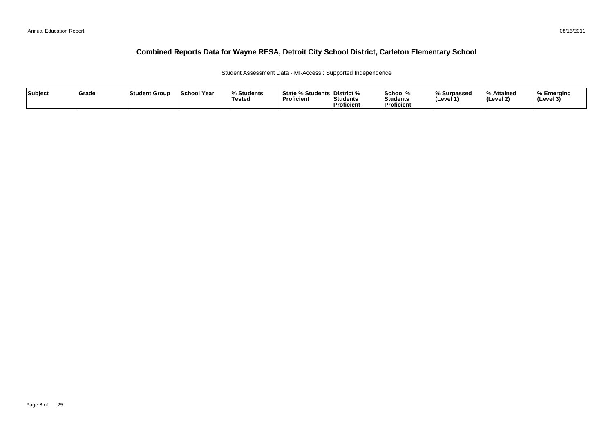Student Assessment Data - MI-Access : Supported Independence

| Subject | Grade | 'Student Group | <b>School Year</b> | % Students<br>Testea | % Students   District %<br>l State %<br>Proficient | Students<br><b>Proficient</b> | School %<br>Students<br><b>Proficien</b> | ∣% Surpassed<br>(Level 1) | $\mathbf{0}_{\alpha}$<br>Attained<br>(Level 2) | Emerging<br>$ $ (Level 3 <sup>'</sup> |
|---------|-------|----------------|--------------------|----------------------|----------------------------------------------------|-------------------------------|------------------------------------------|---------------------------|------------------------------------------------|---------------------------------------|
|---------|-------|----------------|--------------------|----------------------|----------------------------------------------------|-------------------------------|------------------------------------------|---------------------------|------------------------------------------------|---------------------------------------|

08/16/2011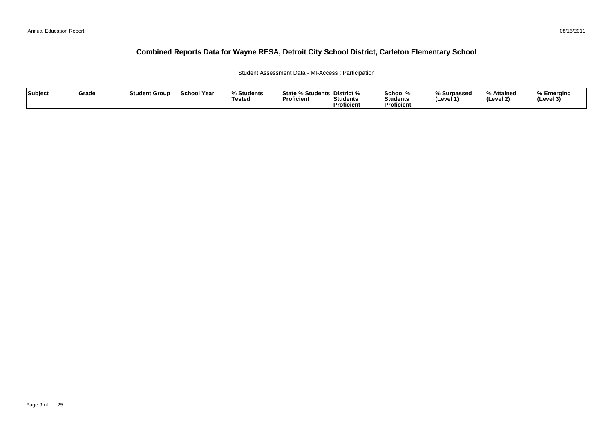#### Student Assessment Data - MI-Access : Participation

| Subject | Grade | ∣Student Group | <b>School Year</b> | 07.<br>Students<br>Tested | <sup>৹⁄</sup> Students ∟<br><b>State</b><br>'Proficient | <b>District</b> %<br>Students<br><sup>'</sup> Proficient | School %<br>Students<br>--<br>Proficient | ∧ Surpassed<br>⊺(Level ′ | ہ Attained<br>Level 2) | % Emerging<br>$ $ (Level 3) |
|---------|-------|----------------|--------------------|---------------------------|---------------------------------------------------------|----------------------------------------------------------|------------------------------------------|--------------------------|------------------------|-----------------------------|
|---------|-------|----------------|--------------------|---------------------------|---------------------------------------------------------|----------------------------------------------------------|------------------------------------------|--------------------------|------------------------|-----------------------------|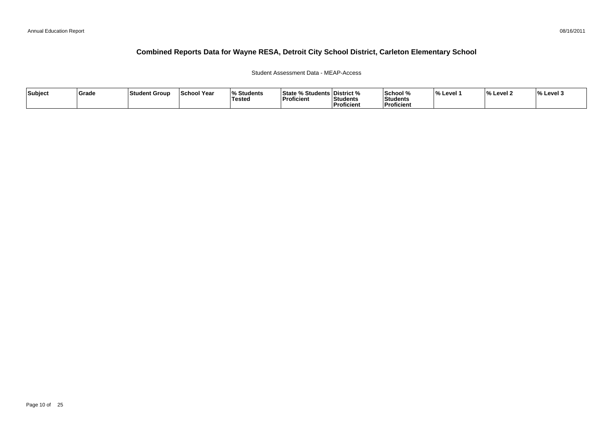### Student Assessment Data - MEAP-Access

| Subject | Grade | Student Group | School Year | 10I<br><b>Students</b><br>Tested | State % Students District %<br>Proficient | <b>Students</b><br>Proficient | School %<br>Students<br><b>Proficient</b> | l% Level 1 | $\overline{a}$<br>% Level 2 | $\frac{1}{6}$ Level 3 |
|---------|-------|---------------|-------------|----------------------------------|-------------------------------------------|-------------------------------|-------------------------------------------|------------|-----------------------------|-----------------------|
|---------|-------|---------------|-------------|----------------------------------|-------------------------------------------|-------------------------------|-------------------------------------------|------------|-----------------------------|-----------------------|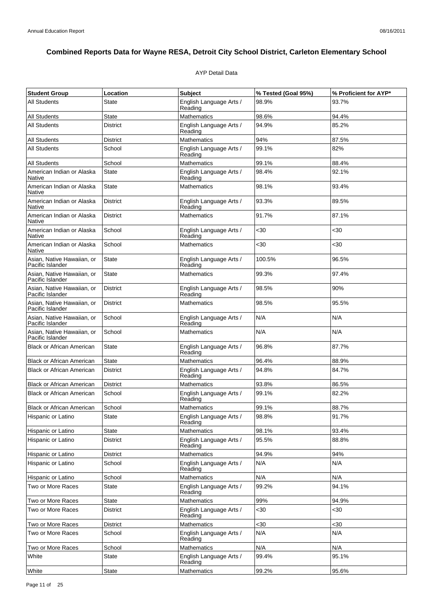### AYP Detail Data

| <b>Student Group</b>                           | Location        | <b>Subject</b>                     | % Tested (Goal 95%) | % Proficient for AYP* |
|------------------------------------------------|-----------------|------------------------------------|---------------------|-----------------------|
| <b>All Students</b>                            | State           | English Language Arts /<br>Reading | 98.9%               | 93.7%                 |
| <b>All Students</b>                            | <b>State</b>    | <b>Mathematics</b>                 | 98.6%               | 94.4%                 |
| <b>All Students</b>                            | <b>District</b> | English Language Arts /<br>Reading | 94.9%               | 85.2%                 |
| All Students                                   | District        | <b>Mathematics</b>                 | 94%                 | 87.5%                 |
| <b>All Students</b>                            | School          | English Language Arts /<br>Reading | 99.1%               | 82%                   |
| <b>All Students</b>                            | School          | Mathematics                        | 99.1%               | 88.4%                 |
| American Indian or Alaska<br>Native            | State           | English Language Arts /<br>Reading | 98.4%               | 92.1%                 |
| American Indian or Alaska<br>Native            | <b>State</b>    | <b>Mathematics</b>                 | 98.1%               | 93.4%                 |
| American Indian or Alaska<br>Native            | <b>District</b> | English Language Arts /<br>Reading | 93.3%               | 89.5%                 |
| American Indian or Alaska<br>Native            | <b>District</b> | <b>Mathematics</b>                 | 91.7%               | 87.1%                 |
| American Indian or Alaska<br>Native            | School          | English Language Arts /<br>Reading | $30$                | $30$                  |
| American Indian or Alaska<br>Native            | School          | <b>Mathematics</b>                 | $30$                | $30$                  |
| Asian, Native Hawaiian, or<br>Pacific Islander | <b>State</b>    | English Language Arts /<br>Reading | 100.5%              | 96.5%                 |
| Asian. Native Hawaiian, or<br>Pacific Islander | <b>State</b>    | <b>Mathematics</b>                 | 99.3%               | 97.4%                 |
| Asian, Native Hawaiian, or<br>Pacific Islander | <b>District</b> | English Language Arts /<br>Reading | 98.5%               | 90%                   |
| Asian, Native Hawaiian, or<br>Pacific Islander | <b>District</b> | <b>Mathematics</b>                 | 98.5%               | 95.5%                 |
| Asian, Native Hawaiian, or<br>Pacific Islander | School          | English Language Arts /<br>Reading | N/A                 | N/A                   |
| Asian, Native Hawaiian, or<br>Pacific Islander | School          | <b>Mathematics</b>                 | N/A                 | N/A                   |
| <b>Black or African American</b>               | State           | English Language Arts /<br>Reading | 96.8%               | 87.7%                 |
| <b>Black or African American</b>               | <b>State</b>    | <b>Mathematics</b>                 | 96.4%               | 88.9%                 |
| <b>Black or African American</b>               | <b>District</b> | English Language Arts /<br>Reading | 94.8%               | 84.7%                 |
| <b>Black or African American</b>               | <b>District</b> | <b>Mathematics</b>                 | 93.8%               | 86.5%                 |
| <b>Black or African American</b>               | School          | English Language Arts /<br>Reading | 99.1%               | 82.2%                 |
| <b>Black or African American</b>               | School          | <b>Mathematics</b>                 | 99.1%               | 88.7%                 |
| Hispanic or Latino                             | State           | English Language Arts /<br>Reading | 98.8%               | 91.7%                 |
| Hispanic or Latino                             | <b>State</b>    | <b>Mathematics</b>                 | 98.1%               | 93.4%                 |
| Hispanic or Latino                             | <b>District</b> | English Language Arts /<br>Reading | 95.5%               | 88.8%                 |
| Hispanic or Latino                             | <b>District</b> | <b>Mathematics</b>                 | 94.9%               | 94%                   |
| Hispanic or Latino                             | School          | English Language Arts /<br>Reading | N/A                 | N/A                   |
| Hispanic or Latino                             | School          | <b>Mathematics</b>                 | N/A                 | N/A                   |
| Two or More Races                              | <b>State</b>    | English Language Arts /<br>Reading | 99.2%               | 94.1%                 |
| Two or More Races                              | <b>State</b>    | <b>Mathematics</b>                 | 99%                 | 94.9%                 |
| Two or More Races                              | <b>District</b> | English Language Arts /<br>Reading | <30                 | <30                   |
| Two or More Races                              | District        | <b>Mathematics</b>                 | $30$                | $30$                  |
| Two or More Races                              | School          | English Language Arts /<br>Reading | N/A                 | N/A                   |
| Two or More Races                              | School          | <b>Mathematics</b>                 | N/A                 | N/A                   |
| White                                          | <b>State</b>    | English Language Arts /<br>Reading | 99.4%               | 95.1%                 |
| White                                          | State           | Mathematics                        | 99.2%               | 95.6%                 |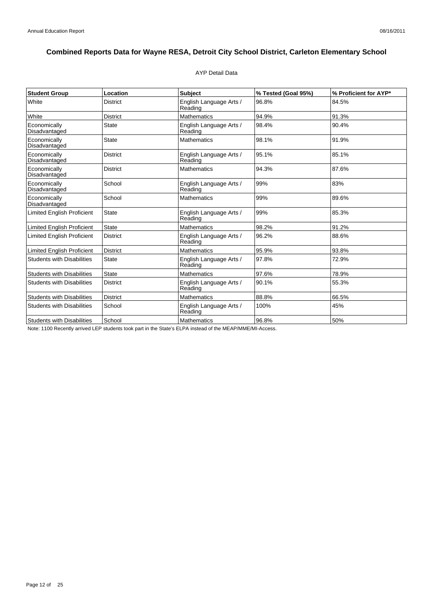### AYP Detail Data

| <b>Student Group</b>              | Location        | Subject                            | % Tested (Goal 95%) | % Proficient for AYP* |
|-----------------------------------|-----------------|------------------------------------|---------------------|-----------------------|
| White                             | <b>District</b> | English Language Arts /<br>Reading | 96.8%               | 84.5%                 |
| White                             | <b>District</b> | <b>Mathematics</b>                 | 94.9%               | 91.3%                 |
| Economically<br>Disadvantaged     | <b>State</b>    | English Language Arts /<br>Reading | 98.4%               | 90.4%                 |
| Economically<br>Disadvantaged     | <b>State</b>    | <b>Mathematics</b>                 | 98.1%               | 91.9%                 |
| Economically<br>Disadvantaged     | <b>District</b> | English Language Arts /<br>Reading | 95.1%               | 85.1%                 |
| Economically<br>Disadvantaged     | <b>District</b> | <b>Mathematics</b>                 | 94.3%               | 87.6%                 |
| Economically<br>Disadvantaged     | School          | English Language Arts /<br>Reading | 99%                 | 83%                   |
| Economically<br>Disadvantaged     | School          | <b>Mathematics</b>                 | 99%                 | 89.6%                 |
| <b>Limited English Proficient</b> | <b>State</b>    | English Language Arts /<br>Reading | 99%                 | 85.3%                 |
| <b>Limited English Proficient</b> | <b>State</b>    | <b>Mathematics</b>                 | 98.2%               | 91.2%                 |
| <b>Limited English Proficient</b> | <b>District</b> | English Language Arts /<br>Reading | 96.2%               | 88.6%                 |
| <b>Limited English Proficient</b> | <b>District</b> | <b>Mathematics</b>                 | 95.9%               | 93.8%                 |
| <b>Students with Disabilities</b> | <b>State</b>    | English Language Arts /<br>Reading | 97.8%               | 72.9%                 |
| <b>Students with Disabilities</b> | <b>State</b>    | Mathematics                        | 97.6%               | 78.9%                 |
| <b>Students with Disabilities</b> | <b>District</b> | English Language Arts /<br>Reading | 90.1%               | 55.3%                 |
| <b>Students with Disabilities</b> | <b>District</b> | <b>Mathematics</b>                 | 88.8%               | 66.5%                 |
| <b>Students with Disabilities</b> | School          | English Language Arts /<br>Reading | 100%                | 45%                   |
| <b>Students with Disabilities</b> | School          | <b>Mathematics</b>                 | 96.8%               | 50%                   |

Note: 1100 Recently arrived LEP students took part in the State's ELPA instead of the MEAP/MME/MI-Access.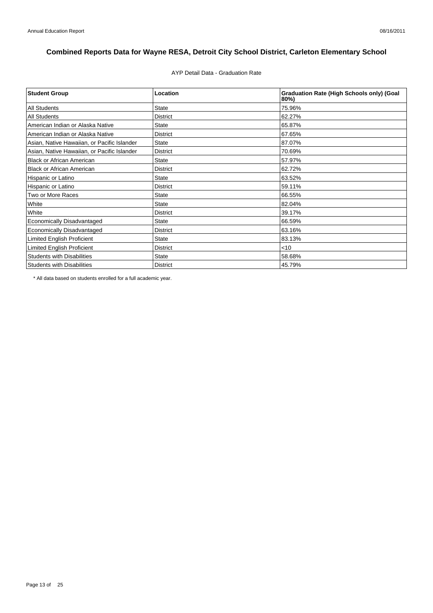AYP Detail Data - Graduation Rate

| <b>Student Group</b>                        | Location        | <b>Graduation Rate (High Schools only) (Goal</b><br>80%) |
|---------------------------------------------|-----------------|----------------------------------------------------------|
| <b>All Students</b>                         | <b>State</b>    | 75.96%                                                   |
| <b>All Students</b>                         | <b>District</b> | 62.27%                                                   |
| American Indian or Alaska Native            | <b>State</b>    | 65.87%                                                   |
| American Indian or Alaska Native            | <b>District</b> | 67.65%                                                   |
| Asian, Native Hawaiian, or Pacific Islander | <b>State</b>    | 87.07%                                                   |
| Asian, Native Hawaiian, or Pacific Islander | <b>District</b> | 70.69%                                                   |
| <b>Black or African American</b>            | <b>State</b>    | 57.97%                                                   |
| <b>Black or African American</b>            | <b>District</b> | 62.72%                                                   |
| Hispanic or Latino                          | <b>State</b>    | 63.52%                                                   |
| Hispanic or Latino                          | <b>District</b> | 59.11%                                                   |
| Two or More Races                           | <b>State</b>    | 66.55%                                                   |
| White                                       | <b>State</b>    | 82.04%                                                   |
| White                                       | <b>District</b> | 39.17%                                                   |
| <b>Economically Disadvantaged</b>           | <b>State</b>    | 66.59%                                                   |
| Economically Disadvantaged                  | <b>District</b> | 63.16%                                                   |
| <b>Limited English Proficient</b>           | <b>State</b>    | 83.13%                                                   |
| <b>Limited English Proficient</b>           | <b>District</b> | $<$ 10                                                   |
| <b>Students with Disabilities</b>           | <b>State</b>    | 58.68%                                                   |
| <b>Students with Disabilities</b>           | <b>District</b> | 45.79%                                                   |

\* All data based on students enrolled for a full academic year.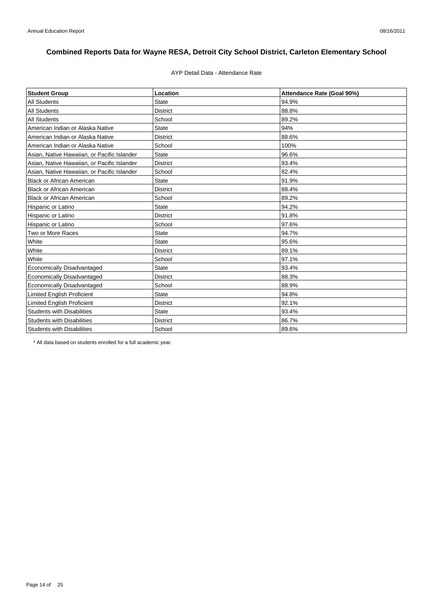### AYP Detail Data - Attendance Rate

| <b>Student Group</b>                        | Location        | Attendance Rate (Goal 90%) |
|---------------------------------------------|-----------------|----------------------------|
| <b>All Students</b>                         | <b>State</b>    | 94.9%                      |
| <b>All Students</b>                         | <b>District</b> | 88.8%                      |
| <b>All Students</b>                         | School          | 89.2%                      |
| American Indian or Alaska Native            | <b>State</b>    | 94%                        |
| American Indian or Alaska Native            | <b>District</b> | 88.6%                      |
| American Indian or Alaska Native            | School          | 100%                       |
| Asian, Native Hawaiian, or Pacific Islander | <b>State</b>    | 96.6%                      |
| Asian, Native Hawaiian, or Pacific Islander | <b>District</b> | 93.4%                      |
| Asian, Native Hawaiian, or Pacific Islander | School          | 82.4%                      |
| <b>Black or African American</b>            | <b>State</b>    | 91.9%                      |
| <b>Black or African American</b>            | <b>District</b> | 88.4%                      |
| <b>Black or African American</b>            | School          | 89.2%                      |
| Hispanic or Latino                          | <b>State</b>    | 94.2%                      |
| Hispanic or Latino                          | <b>District</b> | 91.8%                      |
| Hispanic or Latino                          | School          | 97.6%                      |
| Two or More Races                           | <b>State</b>    | 94.7%                      |
| White                                       | <b>State</b>    | 95.6%                      |
| White                                       | <b>District</b> | 89.1%                      |
| White                                       | School          | 97.1%                      |
| <b>Economically Disadvantaged</b>           | <b>State</b>    | 93.4%                      |
| <b>Economically Disadvantaged</b>           | <b>District</b> | 88.3%                      |
| <b>Economically Disadvantaged</b>           | School          | 88.9%                      |
| Limited English Proficient                  | <b>State</b>    | 94.8%                      |
| <b>Limited English Proficient</b>           | <b>District</b> | 92.1%                      |
| <b>Students with Disabilities</b>           | State           | 93.4%                      |
| <b>Students with Disabilities</b>           | <b>District</b> | 86.7%                      |
| <b>Students with Disabilities</b>           | School          | 89.6%                      |

\* All data based on students enrolled for a full academic year.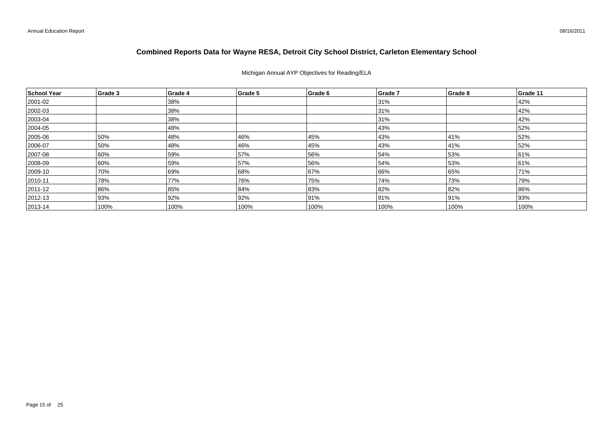### Michigan Annual AYP Objectives for Reading/ELA

| School Year  | Grade 3 | Grade 4 | Grade 5 | Grade 6 | Grade 7 | Grade 8 | Grade 11 |
|--------------|---------|---------|---------|---------|---------|---------|----------|
| 2001-02      |         | 38%     |         |         | 31%     |         | 42%      |
| 2002-03      |         | 38%     |         |         | 31%     |         | 42%      |
| $ 2003 - 04$ |         | 38%     |         |         | 31%     |         | 42%      |
| 2004-05      |         | 48%     |         |         | 43%     |         | 52%      |
| 2005-06      | 50%     | 48%     | 46%     | 45%     | 43%     | 41%     | 52%      |
| 2006-07      | 50%     | 48%     | 46%     | 45%     | 43%     | 41%     | 52%      |
| 2007-08      | 60%     | 59%     | 57%     | 56%     | 54%     | 53%     | 61%      |
| 2008-09      | 60%     | 59%     | 57%     | 56%     | 54%     | 53%     | 61%      |
| 2009-10      | 70%     | 69%     | 68%     | 67%     | 66%     | 65%     | 71%      |
| $ 2010 - 11$ | 78%     | 77%     | 76%     | 75%     | 74%     | 73%     | 79%      |
| 2011-12      | 86%     | 85%     | 84%     | 83%     | 82%     | 82%     | 86%      |
| 2012-13      | 93%     | 92%     | 92%     | 91%     | 91%     | 91%     | 93%      |
| $ 2013 - 14$ | 100%    | 100%    | 100%    | 100%    | 100%    | 100%    | 100%     |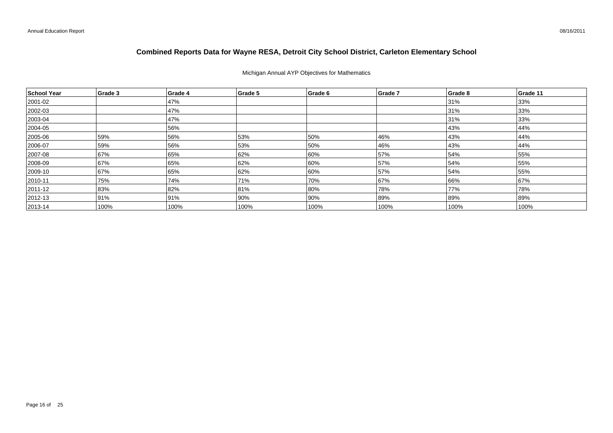### Michigan Annual AYP Objectives for Mathematics

| School Year  | Grade 3 | Grade 4 | Grade 5 | Grade 6 | Grade 7 | Grade 8 | Grade 11 |
|--------------|---------|---------|---------|---------|---------|---------|----------|
| 2001-02      |         | 47%     |         |         |         | 31%     | 33%      |
| 2002-03      |         | 47%     |         |         |         | 31%     | 33%      |
| $ 2003 - 04$ |         | 47%     |         |         |         | 31%     | 33%      |
| 2004-05      |         | 56%     |         |         |         | 43%     | 44%      |
| 2005-06      | 59%     | 56%     | 53%     | 50%     | 46%     | 43%     | 44%      |
| 2006-07      | 59%     | 56%     | 53%     | 50%     | 46%     | 43%     | 44%      |
| 2007-08      | 67%     | 65%     | 62%     | 60%     | 57%     | 54%     | 55%      |
| 2008-09      | 67%     | 65%     | 62%     | 60%     | 57%     | 54%     | 55%      |
| 2009-10      | 67%     | 65%     | 62%     | 60%     | 57%     | 54%     | 55%      |
| $ 2010 - 11$ | 75%     | 74%     | 71%     | 70%     | 67%     | 66%     | 67%      |
| 2011-12      | 83%     | 82%     | 81%     | 80%     | 78%     | 77%     | 78%      |
| $ 2012 - 13$ | 91%     | 91%     | 90%     | 90%     | 89%     | 89%     | 89%      |
| $ 2013 - 14$ | 100%    | 100%    | 100%    | 100%    | 100%    | 100%    | 100%     |

08/16/2011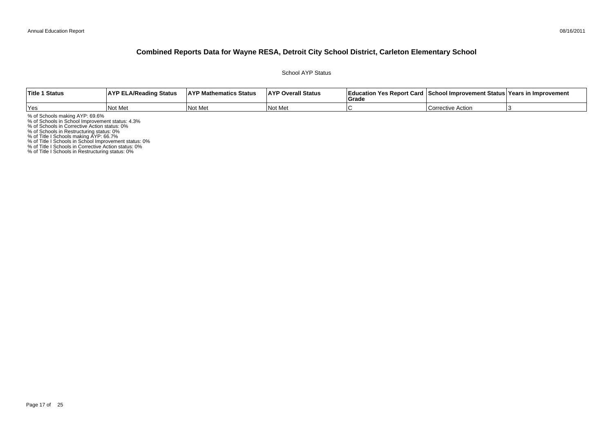School AYP Status

| <b>Title 1 Status</b> | <b>AYP ELA/Reading Status</b> | <b>AYP Mathematics Status</b> | <b>AYP Overall Status</b> | Education Yes Report Card<br>Grade | ⊾ School Improvement Status⊺Years in Improvement |  |
|-----------------------|-------------------------------|-------------------------------|---------------------------|------------------------------------|--------------------------------------------------|--|
| Yes                   | Not Met                       | Not Me                        | l No<br>: Me              |                                    | Corrective Action                                |  |

% of Schools making AYP: 69.6%<br>% of Schools in School Improvement status: 4.3%<br>% of Schools in Corrective Action status: 0%<br>% of Schools in Restructuring status: 0%<br>% of Title I Schools in School Improvement status: 0%<br>% o

% of Title I Schools in Restructuring status: 0%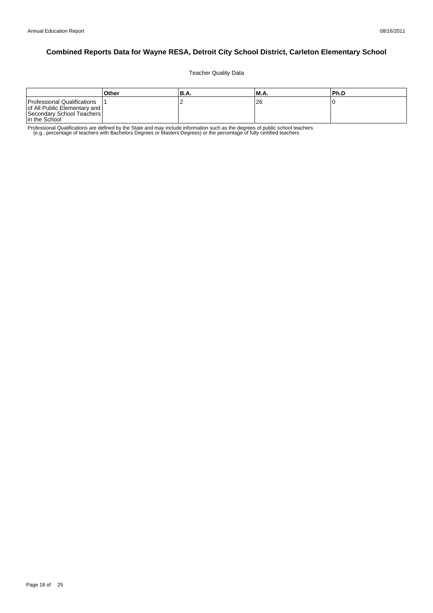Teacher Quality Data

|                                                                                                           | Other | 'B.A. | M.A. | l Ph.D |
|-----------------------------------------------------------------------------------------------------------|-------|-------|------|--------|
| Professional Qualifications<br>of All Public Elementary and<br>Secondary School Teachers<br>In the School |       | -     | 26   |        |

Professional Qualifications are defined by the State and may include information such as the degrees of public school teachers<br>e.g., percentage of teachers with Bachelors Degrees or Masters Degrees) or the percentage of fu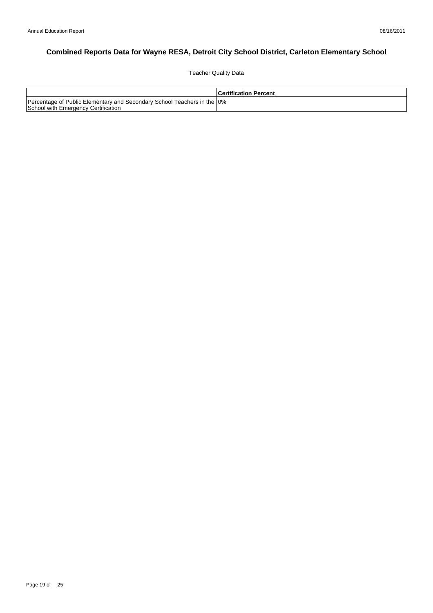Teacher Quality Data

|                                                                                                                 | <b>Certification Percent</b> |
|-----------------------------------------------------------------------------------------------------------------|------------------------------|
| Percentage of Public Elementary and Secondary School Teachers in the 10%<br>School with Emergency Certification |                              |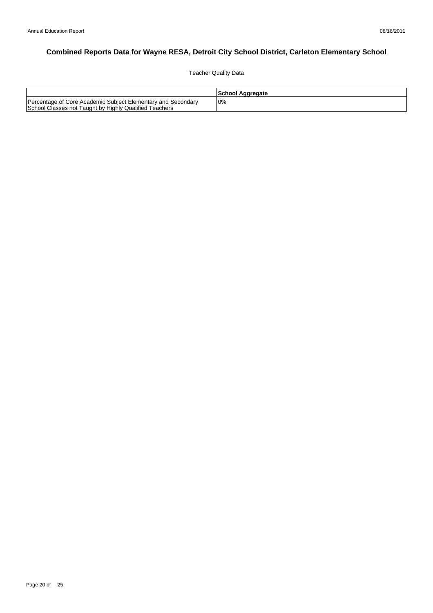Teacher Quality Data

|                                                                                                                        | School Aggregate |
|------------------------------------------------------------------------------------------------------------------------|------------------|
| Percentage of Core Academic Subject Elementary and Secondary<br>School Classes not Taught by Highly Qualified Teachers | 10%              |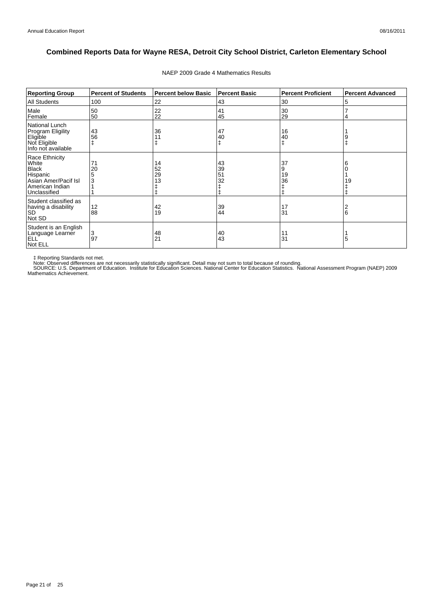| <b>Reporting Group</b>                                                                                         | <b>Percent of Students</b> | <b>Percent below Basic</b> | <b>Percent Basic</b> | <b>Percent Proficient</b> | <b>Percent Advanced</b> |
|----------------------------------------------------------------------------------------------------------------|----------------------------|----------------------------|----------------------|---------------------------|-------------------------|
| <b>All Students</b>                                                                                            | 100                        | 22                         | 43                   | 30                        | 5                       |
| Male<br>Female                                                                                                 | 50<br>50                   | 22<br>22                   | 41<br>45             | 30<br>29                  |                         |
| National Lunch<br>Program Eligility<br>Eligible<br>Not Eligible<br>Info not available                          | 43<br>56                   | 36                         | 47<br>40<br>ŧ        | 16<br>40                  |                         |
| Race Ethnicity<br>White<br><b>Black</b><br>Hispanic<br>Asian Amer/Pacif Isl<br>American Indian<br>Unclassified | 71<br>20<br>5<br>3         | 14<br>52<br>29<br>13       | 43<br>39<br>51<br>32 | 37<br>9<br>19<br>36       | 19                      |
| Student classified as<br>having a disability<br><b>SD</b><br>Not SD                                            | 12<br>88                   | 42<br>19                   | 39<br>44             | 17<br>31                  | 6                       |
| Student is an English<br>Language Learner<br><b>ELL</b><br>Not ELL                                             | 3<br>97                    | 48<br>21                   | 40<br>43             | 11<br>31                  | 5                       |

#### NAEP 2009 Grade 4 Mathematics Results

‡ Reporting Standards not met.<br>Note: Observed differences are not necessarily statistically significant. Detail may not sum to total because of rounding.<br>SOURCE: U.S. Department of Education. Institute for Education Scien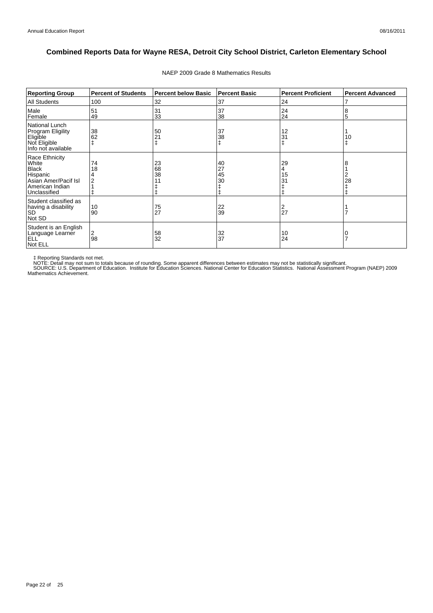| <b>Reporting Group</b>                                                                                         | <b>Percent of Students</b> | <b>Percent below Basic</b> | <b>Percent Basic</b> | <b>Percent Proficient</b>            | <b>Percent Advanced</b> |
|----------------------------------------------------------------------------------------------------------------|----------------------------|----------------------------|----------------------|--------------------------------------|-------------------------|
| <b>All Students</b>                                                                                            | 100                        | 32                         | 37                   | 24                                   |                         |
| Male<br>Female                                                                                                 | 51<br>49                   | 31<br>33                   | 37<br>38             | 24<br>24                             | 8<br>5                  |
| <b>National Lunch</b><br><b>Program Eligility</b><br>Eligible<br>Not Eligible<br>Info not available            | 38<br>62                   | 50<br>21                   | 37<br>38             | 12<br>31                             | 10                      |
| Race Ethnicity<br>White<br><b>Black</b><br>Hispanic<br>Asian Amer/Pacif Isl<br>American Indian<br>Unclassified | 74<br>18                   | 23<br>68<br>38             | 40<br>27<br>45<br>30 | 29<br>4<br>15<br>3 <sup>1</sup><br>Ŧ | 28                      |
| Student classified as<br>having a disability<br><b>SD</b><br>Not SD                                            | 10<br>90                   | 75<br>27                   | 22<br>39             | $\frac{2}{27}$                       |                         |
| Student is an English<br>Language Learner<br><b>ELL</b><br>Not ELL                                             | 2<br>98                    | 58<br>32                   | 32<br>37             | 10<br>24                             |                         |

#### NAEP 2009 Grade 8 Mathematics Results

‡ Reporting Standards not met.<br>NOTE: Detail may not sum to totals because of rounding. Some apparent differences between estimates may not be statistically significant.<br>NOTE: Detail may not sum to totals because of roundin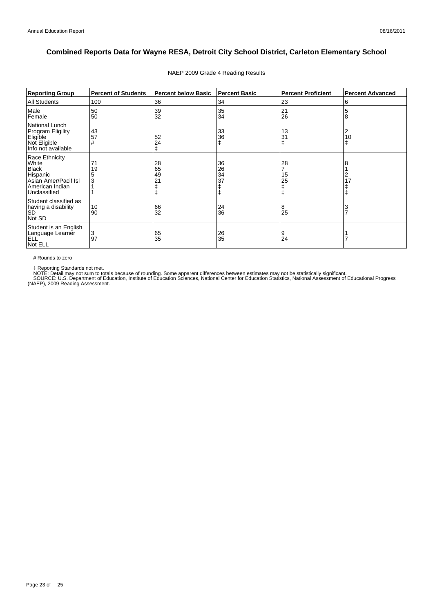| <b>Reporting Group</b>                                                                                         | <b>Percent of Students</b> | <b>Percent below Basic</b> | <b>Percent Basic</b> | <b>Percent Proficient</b> | <b>Percent Advanced</b> |
|----------------------------------------------------------------------------------------------------------------|----------------------------|----------------------------|----------------------|---------------------------|-------------------------|
| All Students                                                                                                   | 100                        | 36                         | 34                   | 23                        | 6                       |
| Male<br>Female                                                                                                 | 50<br>50                   | 39<br>32                   | 35<br>34             | 21<br>26                  | 5<br>8                  |
| National Lunch<br>Program Eligility<br>Eligible<br>Not Eligible<br>Info not available                          | 43<br>57<br>#              | 52<br>24                   | 33<br>36<br>ŧ        | 13<br>31                  | 2<br>10<br>ŧ            |
| Race Ethnicity<br>White<br><b>Black</b><br>Hispanic<br>Asian Amer/Pacif Isl<br>American Indian<br>Unclassified | 71<br>19<br>3              | 28<br>65<br>49<br>21       | 36<br>26<br>34<br>37 | 28<br>15<br>25            | 8<br>2<br>17            |
| Student classified as<br>having a disability<br><b>SD</b><br>Not SD                                            | 10<br>90                   | 66<br>32                   | 24<br>36             | 8<br>25                   | 3<br>$\overline{7}$     |
| Student is an English<br>Language Learner<br>ELL <sup>'</sup><br>Not ELL                                       | 3<br>97                    | 65<br>35                   | 26<br>35             | 9<br>24                   |                         |

#### NAEP 2009 Grade 4 Reading Results

# Rounds to zero

‡ Reporting Standards not met.<br>NOTE: Detail may not sum to totals because of rounding. Some apparent differences between estimates may not be statistically significant.<br>SOURCE: U.S. Department of Education, Institute of Ed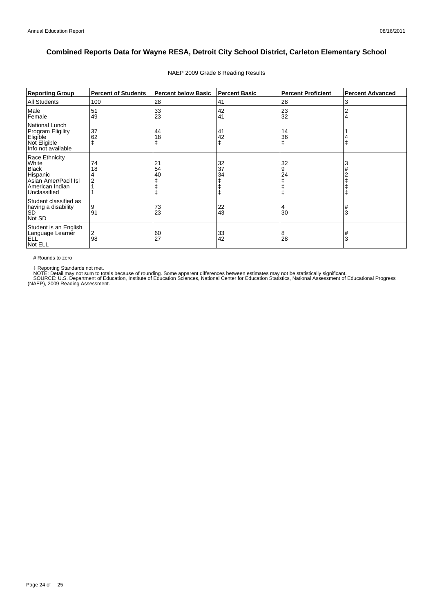| <b>Reporting Group</b>                                                                                         | <b>Percent of Students</b> | Percent below Basic | <b>Percent Basic</b> | <b>Percent Proficient</b> | <b>Percent Advanced</b> |
|----------------------------------------------------------------------------------------------------------------|----------------------------|---------------------|----------------------|---------------------------|-------------------------|
| All Students                                                                                                   | 100                        | 28                  | 41                   | 28                        | 3                       |
| Male<br>Female                                                                                                 | 51<br>49                   | 33<br>23            | 42<br>41             | 23<br>32                  | 2                       |
| National Lunch<br>Program Eligility<br>Eligible<br>Not Eligible<br>Info not available                          | 37<br>62                   | 44<br>18            | 41<br>42             | 14<br>36<br>ŧ             |                         |
| Race Ethnicity<br>White<br><b>Black</b><br>Hispanic<br>Asian Amer/Pacif Isl<br>American Indian<br>Unclassified | 74<br>18                   | 21<br>54<br>40      | 32<br>37<br>34       | 32<br>9<br>24             |                         |
| Student classified as<br>having a disability<br><b>SD</b><br>Not SD                                            | 9<br>91                    | 73<br>23            | 22<br>43             | 4<br>30                   | #<br>3                  |
| Student is an English<br>Language Learner<br>ELL <sup>'</sup><br>Not ELL                                       | 2<br>98                    | 60<br>27            | 33<br>42             | 8<br>28                   | 3                       |

#### NAEP 2009 Grade 8 Reading Results

# Rounds to zero

‡ Reporting Standards not met.<br>NOTE: Detail may not sum to totals because of rounding. Some apparent differences between estimates may not be statistically significant.<br>SOURCE: U.S. Department of Education, Institute of Ed